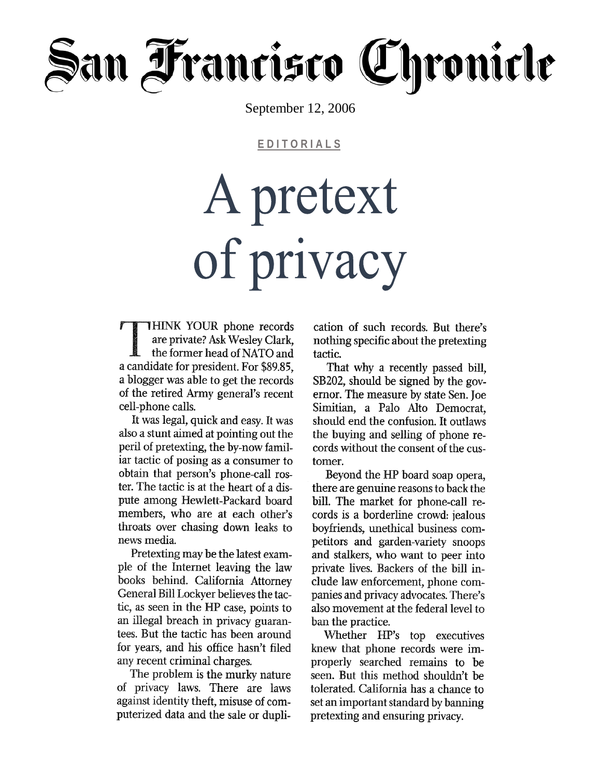# ian Francisco Chronicle

September 12, 2006

EDITORIALS

# A pretext of privacy

THINK YOUR phone records are private? Ask Wesley Clark, the former head of NATO and a candidate for president. For \$89.85, a blogger was able to get the records of the retired Army general's recent cell-phone calls.

It was legal, quick and easy. It was also a stunt aimed at pointing out the peril of pretexting, the by-now familiar tactic of posing as a consumer to obtain that person's phone-call roster. The tactic is at the heart of a dispute among Hewlett-Packard board members, who are at each other's throats over chasing down leaks to news media.

Pretexting may be the latest example of the Internet leaving the law books behind. California Attorney General Bill Lockyer believes the tactic, as seen in the HP case, points to an illegal breach in privacy guarantees. But the tactic has been around for years, and his office hasn't filed any recent criminal charges.

The problem is the murky nature of privacy laws. There are laws against identity theft, misuse of computerized data and the sale or duplication of such records. But there's nothing specific about the pretexting tactic.

That why a recently passed bill, SB202, should be signed by the governor. The measure by state Sen. Joe Simitian, a Palo Alto Democrat. should end the confusion. It outlaws the buying and selling of phone records without the consent of the customer.

Beyond the HP board soap opera, there are genuine reasons to back the bill. The market for phone-call records is a borderline crowd: jealous boyfriends, unethical business competitors and garden-variety snoops and stalkers, who want to peer into private lives. Backers of the bill include law enforcement, phone companies and privacy advocates. There's also movement at the federal level to ban the practice.

Whether HP's top executives knew that phone records were improperly searched remains to be seen. But this method shouldn't be tolerated. California has a chance to set an important standard by banning pretexting and ensuring privacy.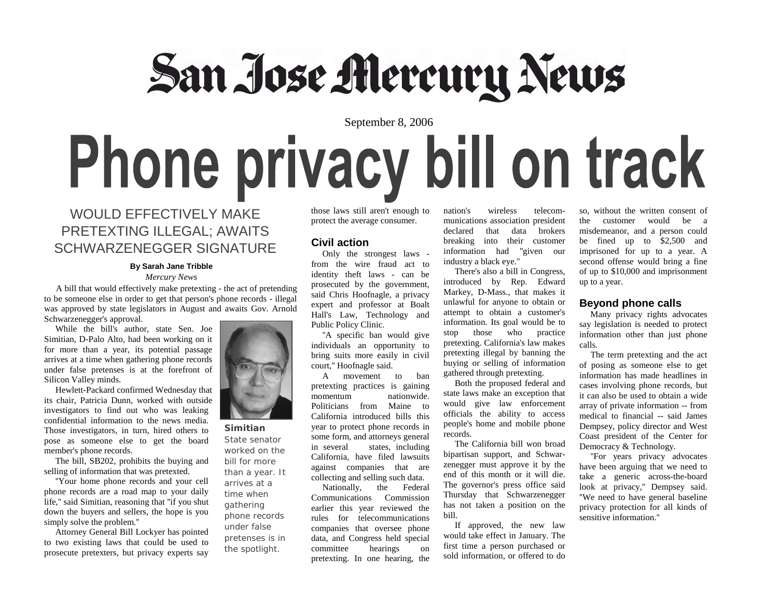## San Jose Mercury News

### September 8, 2006 Phone privacy bill on track

#### WOULD EFFECTIVELY MAKE PRETEXTING ILLEGAL; AWAITS SCHWARZENEGGER SIGNATURE

#### **By Sarah Jane Tribble**

#### *Mercury News*

 A bill that would effectively make pretexting - the act of pretending to be someone else in order to get that person's phone records - illegal was approved by state legislators in August and awaits Gov. Arnold Schwarzenegger's approval.

 While the bill's author, state Sen. Joe Simitian, D-Palo Alto, had been working on it for more than a year, its potential passage arrives at a time when gathering phone records under false pretenses is at the forefront of Silicon Valley minds.

 Hewlett-Packard confirmed Wednesday that its chair, Patricia Dunn, worked with outside investigators to find out who was leaking confidential information to the news media. Those investigators, in turn, hired others to pose as someone else to get the board member's phone records.

 The bill, SB202, prohibits the buying and selling of information that was pretexted.

 ''Your home phone records and your cell phone records are a road map to your daily life,'' said Simitian, reasoning that ''if you shut down the buyers and sellers, the hope is you simply solve the problem.''

 Attorney General Bill Lockyer has pointed to two existing laws that could be used to prosecute pretexters, but privacy experts say



**Simitian**  State senator worked on the bill for more than a year. It

arrives at a time when gathering phone records under false pretenses is in

the spotlight.

those laws still aren't enough to protect the average consumer.

#### **Civil action**

 Only the strongest laws from the wire fraud act to identity theft laws - can be prosecuted by the government, said Chris Hoofnagle, a privacy expert and professor at Boalt Hall's Law, Technology and Public Policy Clinic.

 ''A specific ban would give individuals an opportunity to bring suits more easily in civil court,'' Hoofnagle said.

 A movement to ban pretexting practices is gaining momentum nationwide. Politicians from Maine to California introduced bills this year to protect phone records in some form, and attorneys general in several states, including California, have filed lawsuits against companies that are collecting and selling such data.

 Nationally, the Federal Communications Commission earlier this year reviewed the rules for telecommunications companies that oversee phone data, and Congress held special committee hearings on pretexting. In one hearing, the

nation's wireless telecommunications association president declared that data brokers breaking into their customer information had ''given our industry a black eye.''

 There's also a bill in Congress, introduced by Rep. Edward Markey, D-Mass., that makes it unlawful for anyone to obtain or attempt to obtain a customer's information. Its goal would be to stop those who practice pretexting. California's law makes pretexting illegal by banning the buying or selling of information gathered through pretexting.

 Both the proposed federal and state laws make an exception that would give law enforcement officials the ability to access people's home and mobile phone records.

 The California bill won broad bipartisan support, and Schwarzenegger must approve it by the end of this month or it will die. The governor's press office said Thursday that Schwarzenegger has not taken a position on the bill.

 If approved, the new law would take effect in January. The first time a person purchased or sold information, or offered to do

so, without the written consent of the customer would be a misdemeanor, and a person could be fined up to \$2,500 and imprisoned for up to a year. A second offense would bring a fine of up to \$10,000 and imprisonment up to a year.

#### **Beyond phone calls**

 Many privacy rights advocates say legislation is needed to protect information other than just phone calls.

 The term pretexting and the act of posing as someone else to get information has made headlines in cases involving phone records, but it can also be used to obtain a wide array of private information -- from medical to financial -- said James Dempsey, policy director and West Coast president of the Center for Democracy & Technology.

 ''For years privacy advocates have been arguing that we need to take a generic across-the-board look at privacy,'' Dempsey said. ''We need to have general baseline privacy protection for all kinds of sensitive information.''